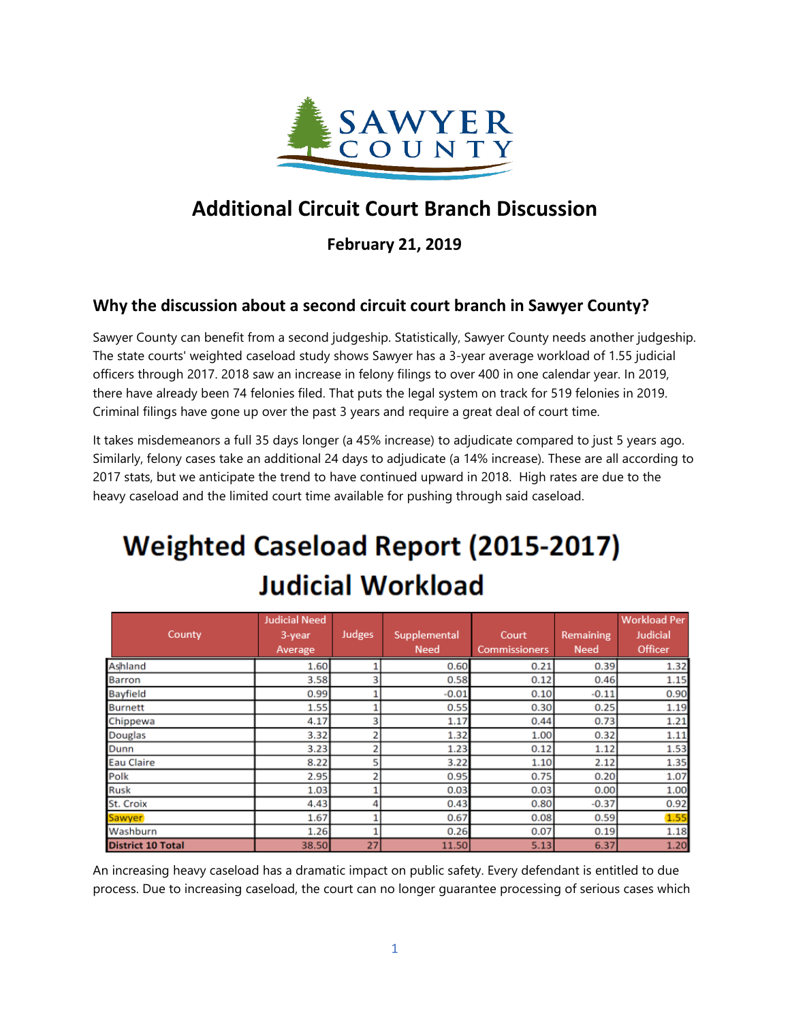

# **Additional Circuit Court Branch Discussion**

**February 21, 2019**

## **Why the discussion about a second circuit court branch in Sawyer County?**

Sawyer County can benefit from a second judgeship. Statistically, Sawyer County needs another judgeship. The state courts' weighted caseload study shows Sawyer has a 3-year average workload of 1.55 judicial officers through 2017. 2018 saw an increase in felony filings to over 400 in one calendar year. In 2019, there have already been 74 felonies filed. That puts the legal system on track for 519 felonies in 2019. Criminal filings have gone up over the past 3 years and require a great deal of court time.

It takes misdemeanors a full 35 days longer (a 45% increase) to adjudicate compared to just 5 years ago. Similarly, felony cases take an additional 24 days to adjudicate (a 14% increase). These are all according to 2017 stats, but we anticipate the trend to have continued upward in 2018. High rates are due to the heavy caseload and the limited court time available for pushing through said caseload.

# **Weighted Caseload Report (2015-2017) Judicial Workload**

|                          | <b>Judicial Need</b> |                |              |                      |             | <b>Workload Per</b> |
|--------------------------|----------------------|----------------|--------------|----------------------|-------------|---------------------|
| County                   | 3-year               | Judges         | Supplemental | Court                | Remaining   | Judicial            |
|                          | Average              |                | <b>Need</b>  | <b>Commissioners</b> | <b>Need</b> | Officer             |
| Ashland                  | 1.60                 |                | 0.60         | 0.21                 | 0.39        | 1.32                |
| <b>Barron</b>            | 3.58                 | 3              | 0.58         | 0.12                 | 0.46        | 1.15                |
| <b>Bayfield</b>          | 0.99                 |                | $-0.01$      | 0.10                 | $-0.11$     | 0.90                |
| <b>Burnett</b>           | 1.55                 |                | 0.55         | 0.30                 | 0.25        | 1.19                |
| Chippewa                 | 4.17                 | 3              | 1.17         | 0.44                 | 0.73        | 1.21                |
| <b>Douglas</b>           | 3.32                 | ŋ              | 1.32         | 1.00                 | 0.32        | 1.11                |
| Dunn                     | 3.23                 | 2              | 1.23         | 0.12                 | 1.12        | 1.53                |
| <b>Eau Claire</b>        | 8.22                 | 5              | 3.22         | 1.10                 | 2.12        | 1.35                |
| Polk                     | 2.95                 | $\overline{2}$ | 0.95         | 0.75                 | 0.20        | 1.07                |
| <b>Rusk</b>              | 1.03                 |                | 0.03         | 0.03                 | 0.00        | 1.00                |
| St. Croix                | 4.43                 | Δ              | 0.43         | 0.80                 | $-0.37$     | 0.92                |
| Sawyer                   | 1.67                 |                | 0.67         | 0.08                 | 0.59        | 1.55                |
| Washburn                 | 1.26                 |                | 0.26         | 0.07                 | 0.19        | 1.18                |
| <b>District 10 Total</b> | 38.50                | 27             | 11.50        | 5.13                 | 6.37        | 1.20                |

An increasing heavy caseload has a dramatic impact on public safety. Every defendant is entitled to due process. Due to increasing caseload, the court can no longer guarantee processing of serious cases which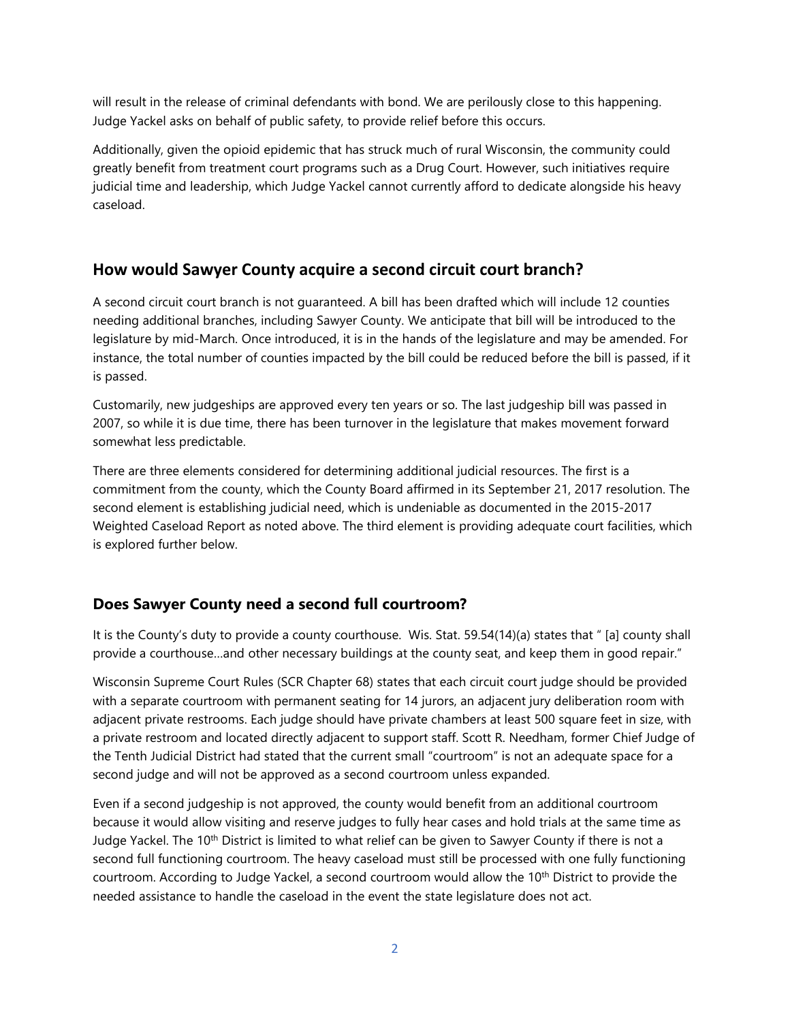will result in the release of criminal defendants with bond. We are perilously close to this happening. Judge Yackel asks on behalf of public safety, to provide relief before this occurs.

Additionally, given the opioid epidemic that has struck much of rural Wisconsin, the community could greatly benefit from treatment court programs such as a Drug Court. However, such initiatives require judicial time and leadership, which Judge Yackel cannot currently afford to dedicate alongside his heavy caseload.

## **How would Sawyer County acquire a second circuit court branch?**

A second circuit court branch is not guaranteed. A bill has been drafted which will include 12 counties needing additional branches, including Sawyer County. We anticipate that bill will be introduced to the legislature by mid-March. Once introduced, it is in the hands of the legislature and may be amended. For instance, the total number of counties impacted by the bill could be reduced before the bill is passed, if it is passed.

Customarily, new judgeships are approved every ten years or so. The last judgeship bill was passed in 2007, so while it is due time, there has been turnover in the legislature that makes movement forward somewhat less predictable.

There are three elements considered for determining additional judicial resources. The first is a commitment from the county, which the County Board affirmed in its September 21, 2017 resolution. The second element is establishing judicial need, which is undeniable as documented in the 2015-2017 Weighted Caseload Report as noted above. The third element is providing adequate court facilities, which is explored further below.

# **Does Sawyer County need a second full courtroom?**

It is the County's duty to provide a county courthouse. Wis. Stat. 59.54(14)(a) states that " [a] county shall provide a courthouse…and other necessary buildings at the county seat, and keep them in good repair."

Wisconsin Supreme Court Rules (SCR Chapter 68) states that each circuit court judge should be provided with a separate courtroom with permanent seating for 14 jurors, an adjacent jury deliberation room with adjacent private restrooms. Each judge should have private chambers at least 500 square feet in size, with a private restroom and located directly adjacent to support staff. Scott R. Needham, former Chief Judge of the Tenth Judicial District had stated that the current small "courtroom" is not an adequate space for a second judge and will not be approved as a second courtroom unless expanded.

Even if a second judgeship is not approved, the county would benefit from an additional courtroom because it would allow visiting and reserve judges to fully hear cases and hold trials at the same time as Judge Yackel. The 10<sup>th</sup> District is limited to what relief can be given to Sawyer County if there is not a second full functioning courtroom. The heavy caseload must still be processed with one fully functioning courtroom. According to Judge Yackel, a second courtroom would allow the 10<sup>th</sup> District to provide the needed assistance to handle the caseload in the event the state legislature does not act.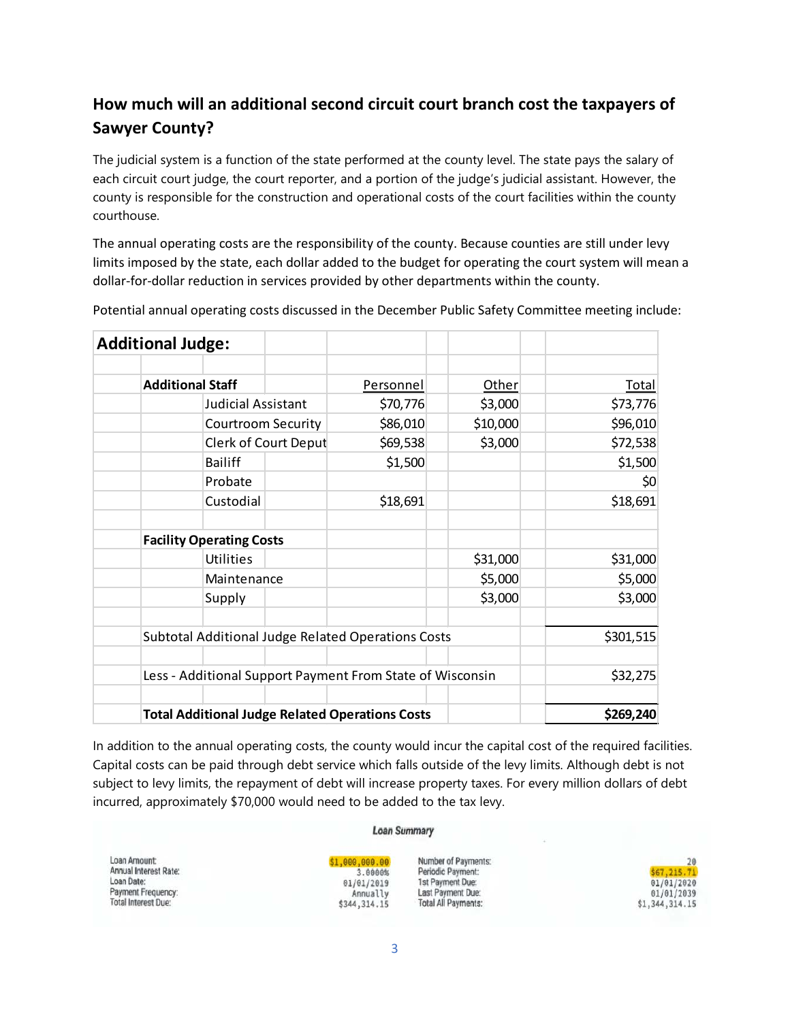# **How much will an additional second circuit court branch cost the taxpayers of Sawyer County?**

The judicial system is a function of the state performed at the county level. The state pays the salary of each circuit court judge, the court reporter, and a portion of the judge's judicial assistant. However, the county is responsible for the construction and operational costs of the court facilities within the county courthouse.

The annual operating costs are the responsibility of the county. Because counties are still under levy limits imposed by the state, each dollar added to the budget for operating the court system will mean a dollar-for-dollar reduction in services provided by other departments within the county.

| <b>Additional Judge:</b> |                                                           |                                  |                     |              |
|--------------------------|-----------------------------------------------------------|----------------------------------|---------------------|--------------|
| <b>Additional Staff</b>  |                                                           | <b>Personnel</b>                 | Other               | <b>Total</b> |
|                          | Judicial Assistant                                        | \$70,776<br>\$86,010<br>\$69,538 | \$3,000<br>\$10,000 | \$73,776     |
|                          | <b>Courtroom Security</b>                                 |                                  |                     | \$96,010     |
|                          | Clerk of Court Deput                                      |                                  | \$3,000             | \$72,538     |
|                          | <b>Bailiff</b>                                            | \$1,500                          |                     | \$1,500      |
|                          | Probate                                                   |                                  |                     | \$0          |
|                          | Custodial                                                 | \$18,691                         |                     | \$18,691     |
|                          | <b>Facility Operating Costs</b>                           |                                  |                     |              |
|                          | <b>Utilities</b>                                          |                                  | \$31,000            | \$31,000     |
|                          | Maintenance                                               |                                  | \$5,000             | \$5,000      |
|                          | Supply                                                    |                                  | \$3,000             | \$3,000      |
|                          | Subtotal Additional Judge Related Operations Costs        |                                  |                     | \$301,515    |
|                          | Less - Additional Support Payment From State of Wisconsin |                                  |                     | \$32,275     |
|                          | <b>Total Additional Judge Related Operations Costs</b>    |                                  |                     | \$269,240    |

Potential annual operating costs discussed in the December Public Safety Committee meeting include:

In addition to the annual operating costs, the county would incur the capital cost of the required facilities. Capital costs can be paid through debt service which falls outside of the levy limits. Although debt is not subject to levy limits, the repayment of debt will increase property taxes. For every million dollars of debt incurred, approximately \$70,000 would need to be added to the tax levy.

#### **Loan Summary**

Loan Amount: Annual Interest Rate: Loan Date: Payment Frequency: **Total Interest Due:** 

#### \$1,000,000.00 3.8888% 01/01/2019 Annually \$344, 314.15

Number of Payments: Periodic Payment: 1st Payment Due: Last Payment Due: Total All Payments:

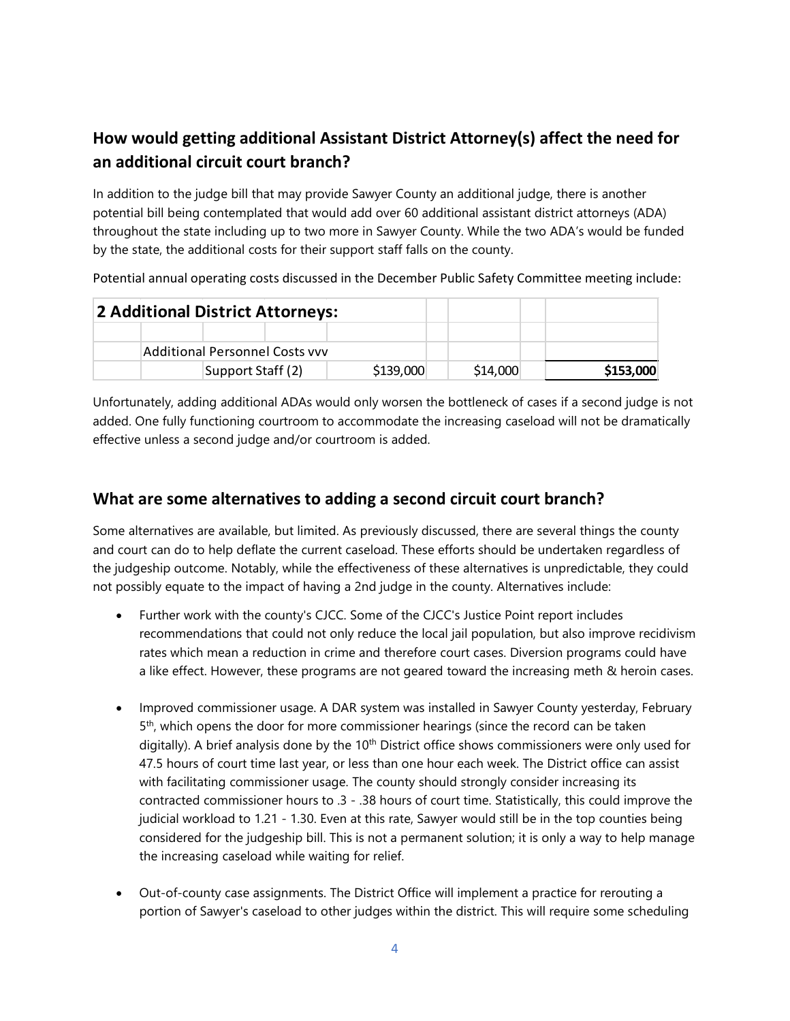# **How would getting additional Assistant District Attorney(s) affect the need for an additional circuit court branch?**

In addition to the judge bill that may provide Sawyer County an additional judge, there is another potential bill being contemplated that would add over 60 additional assistant district attorneys (ADA) throughout the state including up to two more in Sawyer County. While the two ADA's would be funded by the state, the additional costs for their support staff falls on the county.

Potential annual operating costs discussed in the December Public Safety Committee meeting include:

| 2 Additional District Attorneys: |                                       |                   |  |           |          |           |
|----------------------------------|---------------------------------------|-------------------|--|-----------|----------|-----------|
|                                  |                                       |                   |  |           |          |           |
|                                  | <b>Additional Personnel Costs vvv</b> |                   |  |           |          |           |
|                                  |                                       | Support Staff (2) |  | \$139,000 | \$14,000 | \$153,000 |

Unfortunately, adding additional ADAs would only worsen the bottleneck of cases if a second judge is not added. One fully functioning courtroom to accommodate the increasing caseload will not be dramatically effective unless a second judge and/or courtroom is added.

## **What are some alternatives to adding a second circuit court branch?**

Some alternatives are available, but limited. As previously discussed, there are several things the county and court can do to help deflate the current caseload. These efforts should be undertaken regardless of the judgeship outcome. Notably, while the effectiveness of these alternatives is unpredictable, they could not possibly equate to the impact of having a 2nd judge in the county. Alternatives include:

- Further work with the county's CJCC. Some of the CJCC's Justice Point report includes recommendations that could not only reduce the local jail population, but also improve recidivism rates which mean a reduction in crime and therefore court cases. Diversion programs could have a like effect. However, these programs are not geared toward the increasing meth & heroin cases.
- Improved commissioner usage. A DAR system was installed in Sawyer County yesterday, February 5th, which opens the door for more commissioner hearings (since the record can be taken digitally). A brief analysis done by the 10<sup>th</sup> District office shows commissioners were only used for 47.5 hours of court time last year, or less than one hour each week. The District office can assist with facilitating commissioner usage. The county should strongly consider increasing its contracted commissioner hours to .3 - .38 hours of court time. Statistically, this could improve the judicial workload to 1.21 - 1.30. Even at this rate, Sawyer would still be in the top counties being considered for the judgeship bill. This is not a permanent solution; it is only a way to help manage the increasing caseload while waiting for relief.
- Out-of-county case assignments. The District Office will implement a practice for rerouting a portion of Sawyer's caseload to other judges within the district. This will require some scheduling